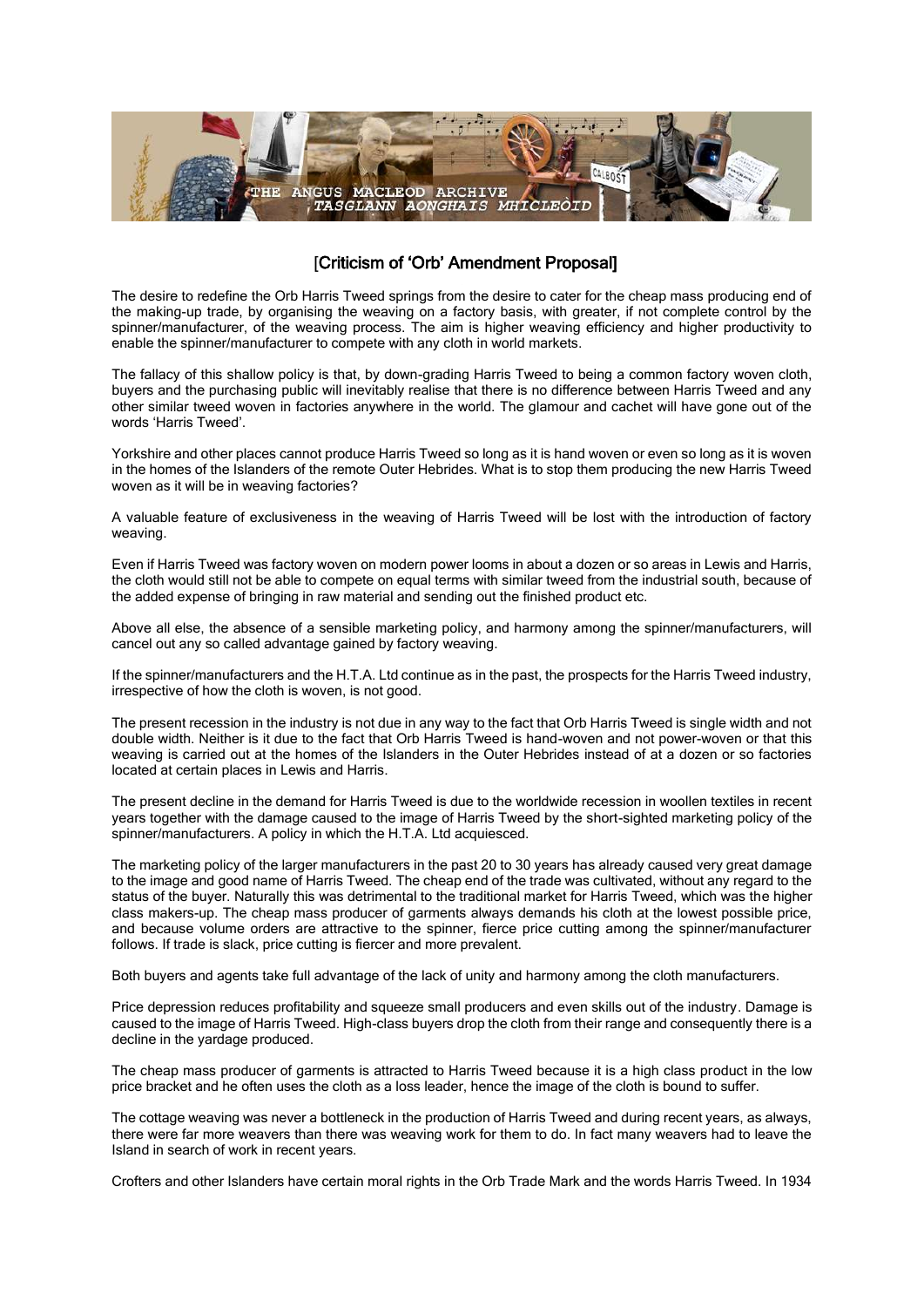

## [Criticism of 'Orb' Amendment Proposal]

The desire to redefine the Orb Harris Tweed springs from the desire to cater for the cheap mass producing end of the making-up trade, by organising the weaving on a factory basis, with greater, if not complete control by the spinner/manufacturer, of the weaving process. The aim is higher weaving efficiency and higher productivity to enable the spinner/manufacturer to compete with any cloth in world markets.

The fallacy of this shallow policy is that, by down-grading Harris Tweed to being a common factory woven cloth, buyers and the purchasing public will inevitably realise that there is no difference between Harris Tweed and any other similar tweed woven in factories anywhere in the world. The glamour and cachet will have gone out of the words 'Harris Tweed'.

Yorkshire and other places cannot produce Harris Tweed so long as it is hand woven or even so long as it is woven in the homes of the Islanders of the remote Outer Hebrides. What is to stop them producing the new Harris Tweed woven as it will be in weaving factories?

A valuable feature of exclusiveness in the weaving of Harris Tweed will be lost with the introduction of factory weaving.

Even if Harris Tweed was factory woven on modern power looms in about a dozen or so areas in Lewis and Harris, the cloth would still not be able to compete on equal terms with similar tweed from the industrial south, because of the added expense of bringing in raw material and sending out the finished product etc.

Above all else, the absence of a sensible marketing policy, and harmony among the spinner/manufacturers, will cancel out any so called advantage gained by factory weaving.

If the spinner/manufacturers and the H.T.A. Ltd continue as in the past, the prospects for the Harris Tweed industry, irrespective of how the cloth is woven, is not good.

The present recession in the industry is not due in any way to the fact that Orb Harris Tweed is single width and not double width. Neither is it due to the fact that Orb Harris Tweed is hand-woven and not power-woven or that this weaving is carried out at the homes of the Islanders in the Outer Hebrides instead of at a dozen or so factories located at certain places in Lewis and Harris.

The present decline in the demand for Harris Tweed is due to the worldwide recession in woollen textiles in recent years together with the damage caused to the image of Harris Tweed by the short-sighted marketing policy of the spinner/manufacturers. A policy in which the H.T.A. Ltd acquiesced.

The marketing policy of the larger manufacturers in the past 20 to 30 years has already caused very great damage to the image and good name of Harris Tweed. The cheap end of the trade was cultivated, without any regard to the status of the buyer. Naturally this was detrimental to the traditional market for Harris Tweed, which was the higher class makers-up. The cheap mass producer of garments always demands his cloth at the lowest possible price, and because volume orders are attractive to the spinner, fierce price cutting among the spinner/manufacturer follows. If trade is slack, price cutting is fiercer and more prevalent.

Both buyers and agents take full advantage of the lack of unity and harmony among the cloth manufacturers.

Price depression reduces profitability and squeeze small producers and even skills out of the industry. Damage is caused to the image of Harris Tweed. High-class buyers drop the cloth from their range and consequently there is a decline in the yardage produced.

The cheap mass producer of garments is attracted to Harris Tweed because it is a high class product in the low price bracket and he often uses the cloth as a loss leader, hence the image of the cloth is bound to suffer.

The cottage weaving was never a bottleneck in the production of Harris Tweed and during recent years, as always, there were far more weavers than there was weaving work for them to do. In fact many weavers had to leave the Island in search of work in recent years.

Crofters and other Islanders have certain moral rights in the Orb Trade Mark and the words Harris Tweed. In 1934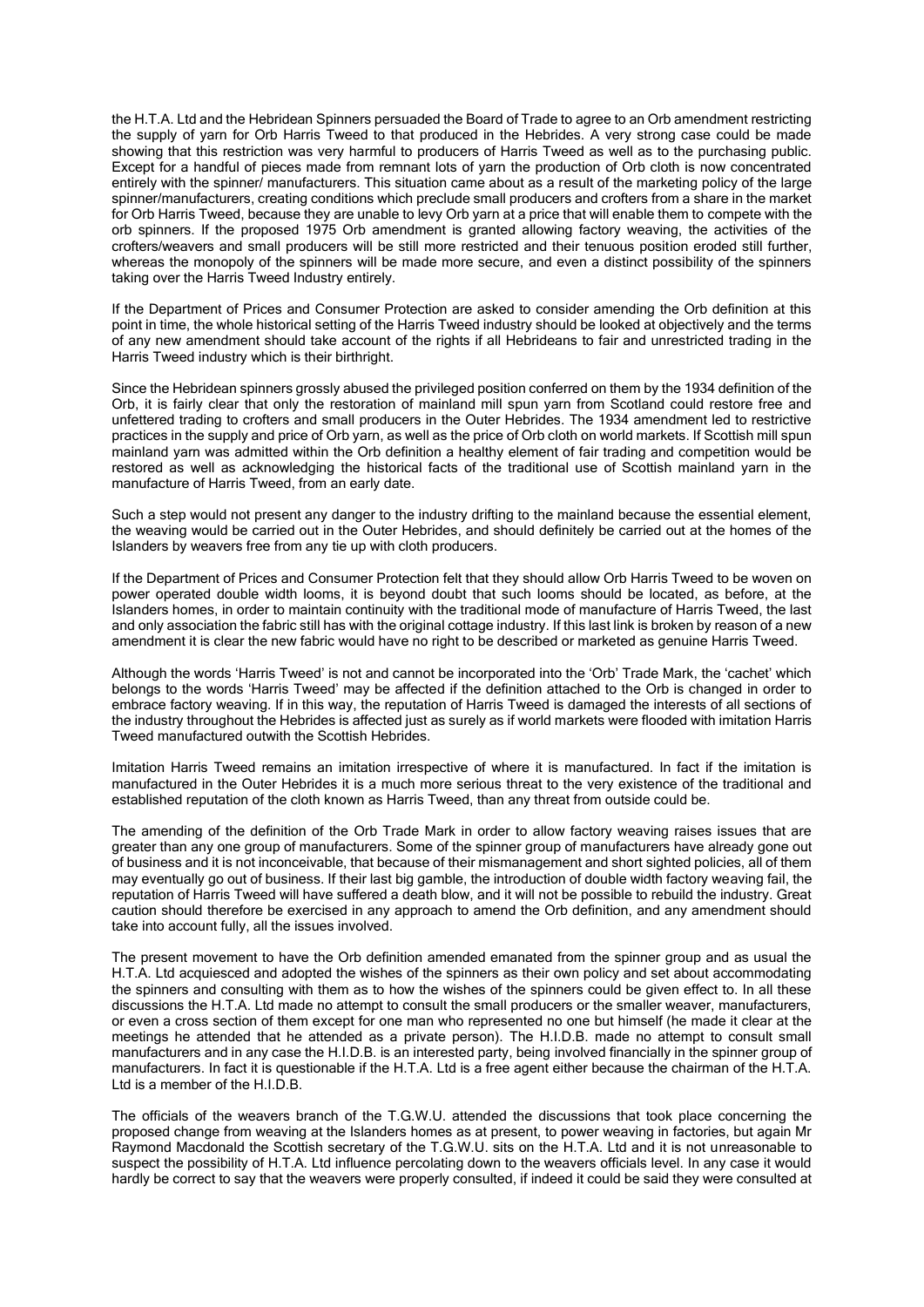the H.T.A. Ltd and the Hebridean Spinners persuaded the Board of Trade to agree to an Orb amendment restricting the supply of yarn for Orb Harris Tweed to that produced in the Hebrides. A very strong case could be made showing that this restriction was very harmful to producers of Harris Tweed as well as to the purchasing public. Except for a handful of pieces made from remnant lots of yarn the production of Orb cloth is now concentrated entirely with the spinner/ manufacturers. This situation came about as a result of the marketing policy of the large spinner/manufacturers, creating conditions which preclude small producers and crofters from a share in the market for Orb Harris Tweed, because they are unable to levy Orb yarn at a price that will enable them to compete with the orb spinners. If the proposed 1975 Orb amendment is granted allowing factory weaving, the activities of the crofters/weavers and small producers will be still more restricted and their tenuous position eroded still further, whereas the monopoly of the spinners will be made more secure, and even a distinct possibility of the spinners taking over the Harris Tweed Industry entirely.

If the Department of Prices and Consumer Protection are asked to consider amending the Orb definition at this point in time, the whole historical setting of the Harris Tweed industry should be looked at objectively and the terms of any new amendment should take account of the rights if all Hebrideans to fair and unrestricted trading in the Harris Tweed industry which is their birthright.

Since the Hebridean spinners grossly abused the privileged position conferred on them by the 1934 definition of the Orb, it is fairly clear that only the restoration of mainland mill spun yarn from Scotland could restore free and unfettered trading to crofters and small producers in the Outer Hebrides. The 1934 amendment led to restrictive practices in the supply and price of Orb yarn, as well as the price of Orb cloth on world markets. If Scottish mill spun mainland yarn was admitted within the Orb definition a healthy element of fair trading and competition would be restored as well as acknowledging the historical facts of the traditional use of Scottish mainland yarn in the manufacture of Harris Tweed, from an early date.

Such a step would not present any danger to the industry drifting to the mainland because the essential element, the weaving would be carried out in the Outer Hebrides, and should definitely be carried out at the homes of the Islanders by weavers free from any tie up with cloth producers.

If the Department of Prices and Consumer Protection felt that they should allow Orb Harris Tweed to be woven on power operated double width looms, it is beyond doubt that such looms should be located, as before, at the Islanders homes, in order to maintain continuity with the traditional mode of manufacture of Harris Tweed, the last and only association the fabric still has with the original cottage industry. If this last link is broken by reason of a new amendment it is clear the new fabric would have no right to be described or marketed as genuine Harris Tweed.

Although the words 'Harris Tweed' is not and cannot be incorporated into the 'Orb' Trade Mark, the 'cachet' which belongs to the words 'Harris Tweed' may be affected if the definition attached to the Orb is changed in order to embrace factory weaving. If in this way, the reputation of Harris Tweed is damaged the interests of all sections of the industry throughout the Hebrides is affected just as surely as if world markets were flooded with imitation Harris Tweed manufactured outwith the Scottish Hebrides.

Imitation Harris Tweed remains an imitation irrespective of where it is manufactured. In fact if the imitation is manufactured in the Outer Hebrides it is a much more serious threat to the very existence of the traditional and established reputation of the cloth known as Harris Tweed, than any threat from outside could be.

The amending of the definition of the Orb Trade Mark in order to allow factory weaving raises issues that are greater than any one group of manufacturers. Some of the spinner group of manufacturers have already gone out of business and it is not inconceivable, that because of their mismanagement and short sighted policies, all of them may eventually go out of business. If their last big gamble, the introduction of double width factory weaving fail, the reputation of Harris Tweed will have suffered a death blow, and it will not be possible to rebuild the industry. Great caution should therefore be exercised in any approach to amend the Orb definition, and any amendment should take into account fully, all the issues involved.

The present movement to have the Orb definition amended emanated from the spinner group and as usual the H.T.A. Ltd acquiesced and adopted the wishes of the spinners as their own policy and set about accommodating the spinners and consulting with them as to how the wishes of the spinners could be given effect to. In all these discussions the H.T.A. Ltd made no attempt to consult the small producers or the smaller weaver, manufacturers, or even a cross section of them except for one man who represented no one but himself (he made it clear at the meetings he attended that he attended as a private person). The H.I.D.B. made no attempt to consult small manufacturers and in any case the H.I.D.B. is an interested party, being involved financially in the spinner group of manufacturers. In fact it is questionable if the H.T.A. Ltd is a free agent either because the chairman of the H.T.A. Ltd is a member of the H.I.D.B.

The officials of the weavers branch of the T.G.W.U. attended the discussions that took place concerning the proposed change from weaving at the Islanders homes as at present, to power weaving in factories, but again Mr Raymond Macdonald the Scottish secretary of the T.G.W.U. sits on the H.T.A. Ltd and it is not unreasonable to suspect the possibility of H.T.A. Ltd influence percolating down to the weavers officials level. In any case it would hardly be correct to say that the weavers were properly consulted, if indeed it could be said they were consulted at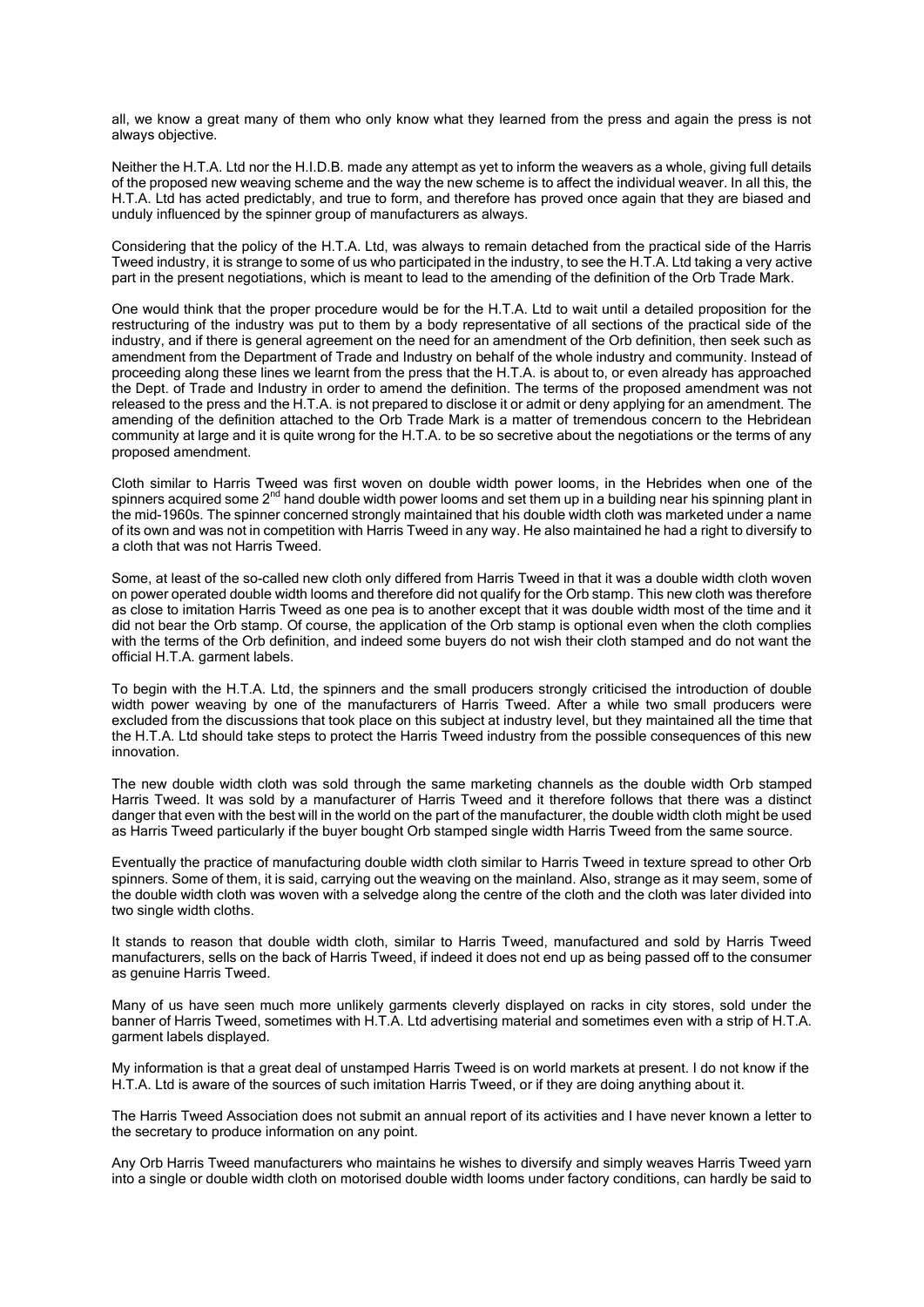all, we know a great many of them who only know what they learned from the press and again the press is not always objective.

Neither the H.T.A. Ltd nor the H.I.D.B. made any attempt as yet to inform the weavers as a whole, giving full details of the proposed new weaving scheme and the way the new scheme is to affect the individual weaver. In all this, the H.T.A. Ltd has acted predictably, and true to form, and therefore has proved once again that they are biased and unduly influenced by the spinner group of manufacturers as always.

Considering that the policy of the H.T.A. Ltd, was always to remain detached from the practical side of the Harris Tweed industry, it is strange to some of us who participated in the industry, to see the H.T.A. Ltd taking a very active part in the present negotiations, which is meant to lead to the amending of the definition of the Orb Trade Mark.

One would think that the proper procedure would be for the H.T.A. Ltd to wait until a detailed proposition for the restructuring of the industry was put to them by a body representative of all sections of the practical side of the industry, and if there is general agreement on the need for an amendment of the Orb definition, then seek such as amendment from the Department of Trade and Industry on behalf of the whole industry and community. Instead of proceeding along these lines we learnt from the press that the H.T.A. is about to, or even already has approached the Dept. of Trade and Industry in order to amend the definition. The terms of the proposed amendment was not released to the press and the H.T.A. is not prepared to disclose it or admit or deny applying for an amendment. The amending of the definition attached to the Orb Trade Mark is a matter of tremendous concern to the Hebridean community at large and it is quite wrong for the H.T.A. to be so secretive about the negotiations or the terms of any proposed amendment.

Cloth similar to Harris Tweed was first woven on double width power looms, in the Hebrides when one of the spinners acquired some 2<sup>nd</sup> hand double width power looms and set them up in a building near his spinning plant in the mid-1960s. The spinner concerned strongly maintained that his double width cloth was marketed under a name of its own and was not in competition with Harris Tweed in any way. He also maintained he had a right to diversify to a cloth that was not Harris Tweed.

Some, at least of the so-called new cloth only differed from Harris Tweed in that it was a double width cloth woven on power operated double width looms and therefore did not qualify for the Orb stamp. This new cloth was therefore as close to imitation Harris Tweed as one pea is to another except that it was double width most of the time and it did not bear the Orb stamp. Of course, the application of the Orb stamp is optional even when the cloth complies with the terms of the Orb definition, and indeed some buyers do not wish their cloth stamped and do not want the official H.T.A. garment labels.

To begin with the H.T.A. Ltd, the spinners and the small producers strongly criticised the introduction of double width power weaving by one of the manufacturers of Harris Tweed. After a while two small producers were excluded from the discussions that took place on this subject at industry level, but they maintained all the time that the H.T.A. Ltd should take steps to protect the Harris Tweed industry from the possible consequences of this new innovation.

The new double width cloth was sold through the same marketing channels as the double width Orb stamped Harris Tweed. It was sold by a manufacturer of Harris Tweed and it therefore follows that there was a distinct danger that even with the best will in the world on the part of the manufacturer, the double width cloth might be used as Harris Tweed particularly if the buyer bought Orb stamped single width Harris Tweed from the same source.

Eventually the practice of manufacturing double width cloth similar to Harris Tweed in texture spread to other Orb spinners. Some of them, it is said, carrying out the weaving on the mainland. Also, strange as it may seem, some of the double width cloth was woven with a selvedge along the centre of the cloth and the cloth was later divided into two single width cloths.

It stands to reason that double width cloth, similar to Harris Tweed, manufactured and sold by Harris Tweed manufacturers, sells on the back of Harris Tweed, if indeed it does not end up as being passed off to the consumer as genuine Harris Tweed.

Many of us have seen much more unlikely garments cleverly displayed on racks in city stores, sold under the banner of Harris Tweed, sometimes with H.T.A. Ltd advertising material and sometimes even with a strip of H.T.A. garment labels displayed.

My information is that a great deal of unstamped Harris Tweed is on world markets at present. I do not know if the H.T.A. Ltd is aware of the sources of such imitation Harris Tweed, or if they are doing anything about it.

The Harris Tweed Association does not submit an annual report of its activities and I have never known a letter to the secretary to produce information on any point.

Any Orb Harris Tweed manufacturers who maintains he wishes to diversify and simply weaves Harris Tweed yarn into a single or double width cloth on motorised double width looms under factory conditions, can hardly be said to